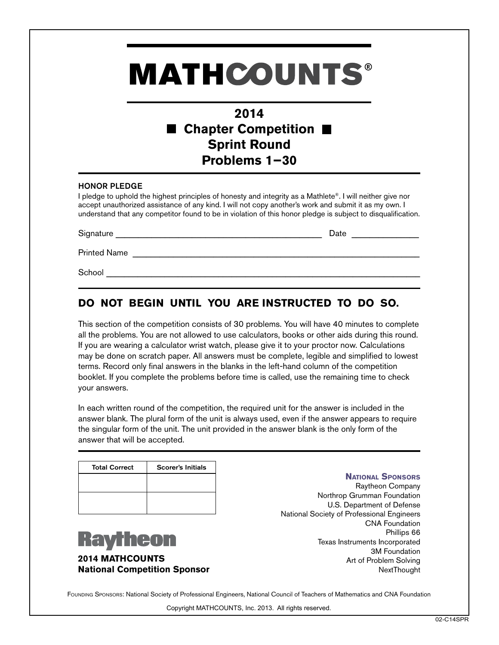# **MATHCOUNTS®**

## **2014** ■ Chapter Competition ■ **Sprint Round Problems 1−30**

#### HONOR PLEDGE

I pledge to uphold the highest principles of honesty and integrity as a Mathlete®. I will neither give nor accept unauthorized assistance of any kind. I will not copy another's work and submit it as my own. I understand that any competitor found to be in violation of this honor pledge is subject to disqualification.

Signature \_\_\_\_\_\_\_\_\_\_\_\_\_\_\_\_\_\_\_\_\_\_\_\_\_\_\_\_\_\_\_\_\_\_\_\_\_\_\_\_\_\_\_\_\_\_ Date \_\_\_\_\_\_\_\_\_\_\_\_\_\_\_

Printed Name \_\_\_\_\_\_\_\_\_\_\_\_\_\_\_\_\_\_\_\_\_\_\_\_\_\_\_\_\_\_\_\_\_\_\_\_\_\_\_\_\_\_\_\_\_\_\_\_\_\_\_\_\_\_\_\_\_\_\_\_\_\_\_\_

School \_\_\_\_\_\_\_\_\_\_\_\_\_\_\_\_\_\_\_\_\_\_\_\_\_\_\_\_\_\_\_\_\_\_\_\_\_\_\_\_\_\_\_\_\_\_\_\_\_\_\_\_\_\_\_\_\_\_\_\_\_\_\_\_\_\_\_\_\_\_

### **DO NOT BEGIN UNTIL YOU ARE INSTRUCTED TO DO SO.**

This section of the competition consists of 30 problems. You will have 40 minutes to complete all the problems. You are not allowed to use calculators, books or other aids during this round. If you are wearing a calculator wrist watch, please give it to your proctor now. Calculations may be done on scratch paper. All answers must be complete, legible and simplified to lowest terms. Record only final answers in the blanks in the left-hand column of the competition booklet. If you complete the problems before time is called, use the remaining time to check your answers.

In each written round of the competition, the required unit for the answer is included in the answer blank. The plural form of the unit is always used, even if the answer appears to require the singular form of the unit. The unit provided in the answer blank is the only form of the answer that will be accepted.

| <b>Total Correct</b> | <b>Scorer's Initials</b> |
|----------------------|--------------------------|
|                      |                          |
|                      |                          |
|                      |                          |



**2014 MATHCOUNTS National Competition Sponsor** **National Sponsors**

Raytheon Company Northrop Grumman Foundation U.S. Department of Defense National Society of Professional Engineers CNA Foundation Phillips 66 Texas Instruments Incorporated 3M Foundation Art of Problem Solving **NextThought** 

FOUNDING SPONSORS: National Society of Professional Engineers, National Council of Teachers of Mathematics and CNA Foundation

Copyright MATHCOUNTS, Inc. 2013. All rights reserved.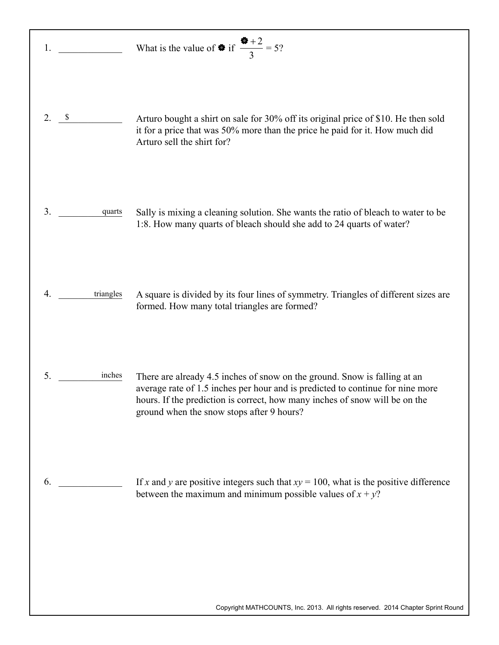| 1.                 |           | What is the value of $\otimes$ if $\frac{\otimes +2}{3} = 5$ ?                                                                                                                                                                                                                          |
|--------------------|-----------|-----------------------------------------------------------------------------------------------------------------------------------------------------------------------------------------------------------------------------------------------------------------------------------------|
| 2.<br>$\mathbf{s}$ |           | Arturo bought a shirt on sale for 30% off its original price of \$10. He then sold<br>it for a price that was 50% more than the price he paid for it. How much did<br>Arturo sell the shirt for?                                                                                        |
| 3.                 | quarts    | Sally is mixing a cleaning solution. She wants the ratio of bleach to water to be<br>1:8. How many quarts of bleach should she add to 24 quarts of water?                                                                                                                               |
| 4.                 | triangles | A square is divided by its four lines of symmetry. Triangles of different sizes are<br>formed. How many total triangles are formed?                                                                                                                                                     |
| 5.                 | inches    | There are already 4.5 inches of snow on the ground. Snow is falling at an<br>average rate of 1.5 inches per hour and is predicted to continue for nine more<br>hours. If the prediction is correct, how many inches of snow will be on the<br>ground when the snow stops after 9 hours? |
| 6.                 |           | If x and y are positive integers such that $xy = 100$ , what is the positive difference<br>between the maximum and minimum possible values of $x + y$ ?                                                                                                                                 |
|                    |           | Copyright MATHCOUNTS, Inc. 2013. All rights reserved. 2014 Chapter Sprint Round                                                                                                                                                                                                         |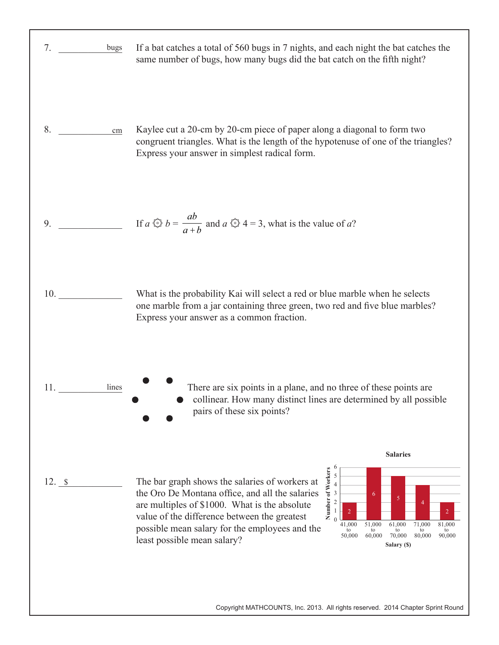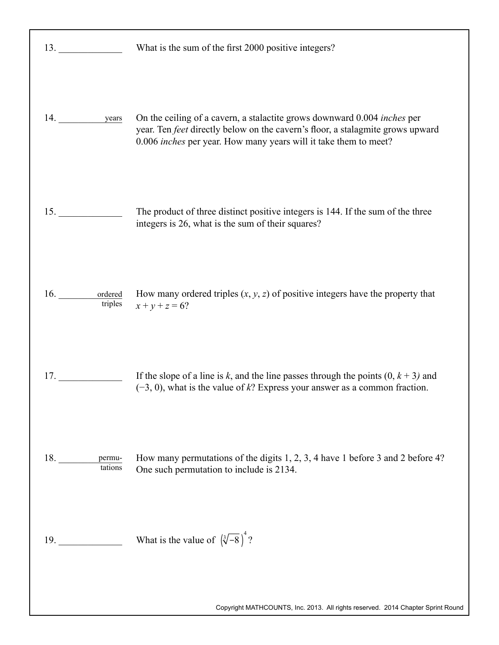| 13. $\qquad \qquad$    | What is the sum of the first 2000 positive integers?                                                                                                                                                                                  |
|------------------------|---------------------------------------------------------------------------------------------------------------------------------------------------------------------------------------------------------------------------------------|
| 14. years              | On the ceiling of a cavern, a stalactite grows downward 0.004 <i>inches</i> per<br>year. Ten feet directly below on the cavern's floor, a stalagmite grows upward<br>0.006 inches per year. How many years will it take them to meet? |
| 15.                    | The product of three distinct positive integers is 144. If the sum of the three<br>integers is 26, what is the sum of their squares?                                                                                                  |
| 16. ordered<br>triples | How many ordered triples $(x, y, z)$ of positive integers have the property that<br>$x + y + z = 6?$                                                                                                                                  |
| 17.                    | If the slope of a line is k, and the line passes through the points $(0, k + 3)$ and<br>$(-3, 0)$ , what is the value of k? Express your answer as a common fraction.                                                                 |
| tations                | How many permutations of the digits 1, 2, 3, 4 have 1 before 3 and 2 before 4?<br>One such permutation to include is 2134.                                                                                                            |
| 19.                    | What is the value of $(\sqrt[3]{-8})^4$ ?                                                                                                                                                                                             |
|                        | Copyright MATHCOUNTS, Inc. 2013. All rights reserved. 2014 Chapter Sprint Round                                                                                                                                                       |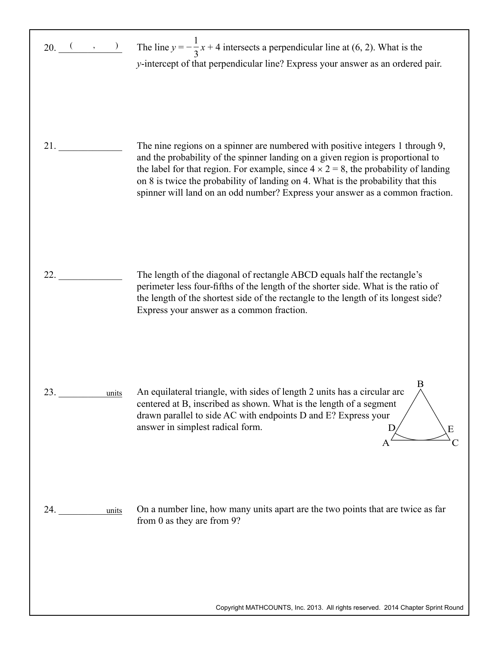|              | 20. $\frac{(-1)^{n}}{n}$ The line $y = -\frac{1}{3}x + 4$ intersects a perpendicular line at (6, 2). What is the<br>y-intercept of that perpendicular line? Express your answer as an ordered pair.                                                                                                                                                                                                                                   |
|--------------|---------------------------------------------------------------------------------------------------------------------------------------------------------------------------------------------------------------------------------------------------------------------------------------------------------------------------------------------------------------------------------------------------------------------------------------|
| 21.          | The nine regions on a spinner are numbered with positive integers 1 through 9,<br>and the probability of the spinner landing on a given region is proportional to<br>the label for that region. For example, since $4 \times 2 = 8$ , the probability of landing<br>on 8 is twice the probability of landing on 4. What is the probability that this<br>spinner will land on an odd number? Express your answer as a common fraction. |
| 22.          | The length of the diagonal of rectangle ABCD equals half the rectangle's<br>perimeter less four-fifths of the length of the shorter side. What is the ratio of<br>the length of the shortest side of the rectangle to the length of its longest side?<br>Express your answer as a common fraction.                                                                                                                                    |
| 23.<br>units | An equilateral triangle, with sides of length 2 units has a circular arc<br>centered at B, inscribed as shown. What is the length of a segment<br>drawn parallel to side AC with endpoints D and E? Express your<br>answer in simplest radical form.<br>Ε<br>A                                                                                                                                                                        |
| 24.<br>units | On a number line, how many units apart are the two points that are twice as far<br>from 0 as they are from 9?                                                                                                                                                                                                                                                                                                                         |

Copyright MATHCOUNTS, Inc. 2013. All rights reserved. 2014 Chapter Sprint Round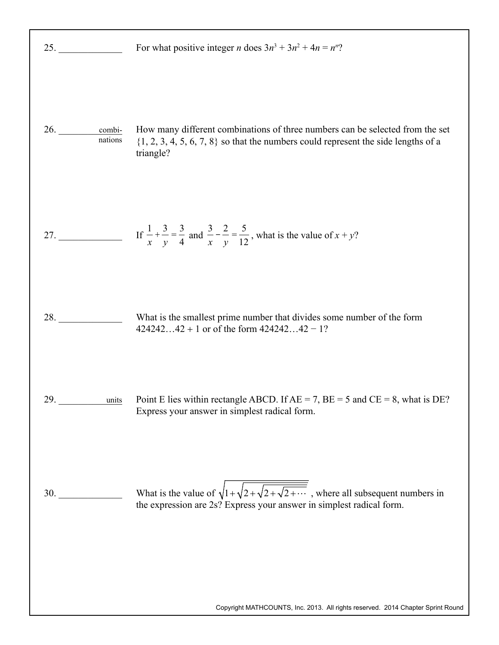| 25.                                                                                                                                                                                                                                          | For what positive integer <i>n</i> does $3n^3 + 3n^2 + 4n = n^n$ ?                                                                                                                   |
|----------------------------------------------------------------------------------------------------------------------------------------------------------------------------------------------------------------------------------------------|--------------------------------------------------------------------------------------------------------------------------------------------------------------------------------------|
| 26.<br>combi-<br>nations                                                                                                                                                                                                                     | How many different combinations of three numbers can be selected from the set<br>$\{1, 2, 3, 4, 5, 6, 7, 8\}$ so that the numbers could represent the side lengths of a<br>triangle? |
|                                                                                                                                                                                                                                              |                                                                                                                                                                                      |
| 28.                                                                                                                                                                                                                                          | What is the smallest prime number that divides some number of the form<br>$42424242 + 1$ or of the form $42424242 - 1$ ?                                                             |
| <b>29.</b> The contract of the contract of the contract of the contract of the contract of the contract of the contract of the contract of the contract of the contract of the contract of the contract of the contract of the cont<br>units | Point E lies within rectangle ABCD. If $AE = 7$ , $BE = 5$ and $CE = 8$ , what is DE?<br>Express your answer in simplest radical form.                                               |
| <b>30.</b> The same state of $\sim$                                                                                                                                                                                                          | What is the value of $\sqrt{1+\sqrt{2+\sqrt{2+\sqrt{2+\cdots}}}}$ , where all subsequent numbers in<br>the expression are 2s? Express your answer in simplest radical form.          |
|                                                                                                                                                                                                                                              | Copyright MATHCOUNTS, Inc. 2013. All rights reserved. 2014 Chapter Sprint Round                                                                                                      |